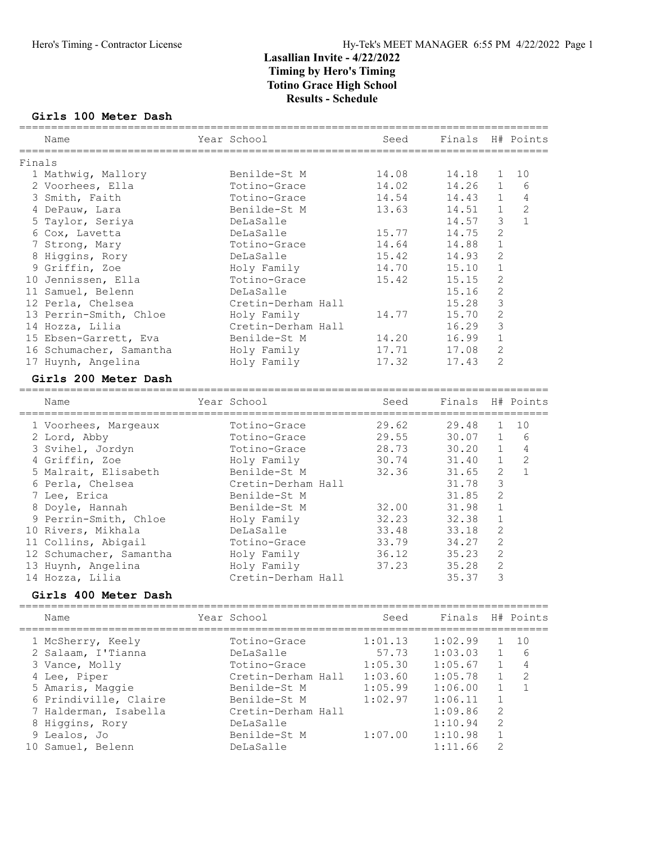#### Girls 100 Meter Dash

|        | Name                               | Year School                                   | Seed                                       | Finals H# Points     |                   |                |
|--------|------------------------------------|-----------------------------------------------|--------------------------------------------|----------------------|-------------------|----------------|
| Finals | ________________                   |                                               |                                            | -------------------- |                   |                |
|        | 1 Mathwig, Mallory                 | Benilde-St M                                  | 14.08                                      | 14.18                | 1                 | 10             |
|        | 2 Voorhees, Ella                   | Totino-Grace                                  | 14.02                                      | 14.26                | 1                 | 6              |
|        | 3 Smith, Faith                     | Totino-Grace                                  | 14.54                                      | 14.43                | 1                 | $\overline{4}$ |
|        | 4 DePauw, Lara                     | Benilde-St M                                  | 13.63                                      | 14.51                | $\mathbf{1}$      | 2              |
|        | 5 Taylor, Seriya                   | DeLaSalle                                     |                                            | 14.57                | 3                 | $\mathbf{1}$   |
|        | 6 Cox, Lavetta                     | DeLaSalle                                     | 15.77                                      | 14.75                | $\overline{c}$    |                |
|        | 7 Strong, Mary                     | Totino-Grace                                  | 14.64                                      | 14.88                | $\mathbf 1$       |                |
|        | 8 Higgins, Rory                    | DeLaSalle                                     | 15.42                                      | 14.93                | $\overline{c}$    |                |
|        | 9 Griffin, Zoe                     | Holy Family                                   | 14.70                                      | 15.10                | $1\,$             |                |
|        | 10 Jennissen, Ella                 | Totino-Grace                                  | 15.42                                      | 15.15                | $\overline{c}$    |                |
|        | 11 Samuel, Belenn                  | DeLaSalle                                     |                                            | 15.16                | $\overline{c}$    |                |
|        | 12 Perla, Chelsea                  | Cretin-Derham Hall                            |                                            | 15.28                | 3                 |                |
|        | 13 Perrin-Smith, Chloe             | Holy Family                                   | 14.77                                      | 15.70                | $\overline{c}$    |                |
|        | 14 Hozza, Lilia                    | Cretin-Derham Hall                            |                                            | 16.29                | 3                 |                |
|        | 15 Ebsen-Garrett, Eva              | Benilde-St M                                  | 14.20                                      | 16.99                | $1\,$             |                |
|        | 16 Schumacher, Samantha            | Holy Family                                   | 17.71                                      | 17.08                | $\mathbf{2}$      |                |
|        | 17 Huynh, Angelina                 | Holy Family                                   | 17.32                                      | 17.43                | $\overline{2}$    |                |
|        |                                    |                                               |                                            |                      |                   |                |
|        | Girls 200 Meter Dash               |                                               |                                            |                      |                   |                |
|        | Name<br>=======================    | Year School<br>============================== | Seed<br>================================== | Finals               |                   | H# Points      |
|        | 1 Voorhees, Margeaux               | Totino-Grace                                  | 29.62                                      | 29.48                | 1                 | 10             |
|        | 2 Lord, Abby                       | Totino-Grace                                  | 29.55                                      | 30.07                | 1                 | 6              |
|        | 3 Svihel, Jordyn                   | Totino-Grace                                  | 28.73                                      | 30.20                | 1                 | $\overline{4}$ |
|        | 4 Griffin, Zoe                     | Holy Family                                   | 30.74                                      | 31.40                | $\mathbf 1$       | $\overline{c}$ |
|        | 5 Malrait, Elisabeth               | Benilde-St M                                  | 32.36                                      | 31.65                | $\sqrt{2}$        | $\mathbf{1}$   |
|        | 6 Perla, Chelsea                   | Cretin-Derham Hall                            |                                            | 31.78                | 3                 |                |
|        | 7 Lee, Erica                       | Benilde-St M                                  |                                            | 31.85                | $\overline{c}$    |                |
|        | 8 Doyle, Hannah                    | Benilde-St M                                  | 32.00                                      | 31.98                | $\mathbf 1$       |                |
|        | 9 Perrin-Smith, Chloe              | Holy Family                                   | 32.23                                      | 32.38                | $\mathbf 1$       |                |
|        | 10 Rivers, Mikhala                 | DeLaSalle                                     | 33.48                                      | 33.18                | $\overline{c}$    |                |
|        | 11 Collins, Abigail                | Totino-Grace                                  | 33.79                                      | 34.27                | $\overline{c}$    |                |
|        | 12 Schumacher, Samantha            | Holy Family                                   | 36.12                                      | 35.23                | $\mathbf{2}$      |                |
|        | 13 Huynh, Angelina                 | Holy Family                                   | 37.23                                      | 35.28                | $\overline{c}$    |                |
|        | 14 Hozza, Lilia                    | Cretin-Derham Hall                            |                                            | 35.37                | 3                 |                |
|        | Girls 400 Meter Dash               |                                               |                                            |                      |                   |                |
|        | ;=========================<br>Name | Year School                                   | -------------------------------<br>Seed    | Finals               |                   | H# Points      |
|        |                                    | ---------------------                         |                                            |                      |                   |                |
|        | 1 McSherry, Keely                  | Totino-Grace                                  | 1:01.13                                    | 1:02.99              | 1                 | 10<br>6        |
|        | 2 Salaam, I'Tianna                 | DeLaSalle<br>Totino-Grace                     | 57.73                                      | 1:03.03              | 1<br>$\mathbf{1}$ | 4              |
|        | 3 Vance, Molly                     |                                               | 1:05.30                                    | 1:05.67              | $\mathbf{1}$      | 2              |
|        | 4 Lee, Piper                       | Cretin-Derham Hall                            | 1:03.60                                    | 1:05.78              |                   |                |
|        | 5 Amaris, Maggie                   | Benilde-St M                                  | 1:05.99                                    | 1:06.00              | $\mathbf{1}$      | $\mathbf{1}$   |
|        | 6 Prindiville, Claire              | Benilde-St M                                  | 1:02.97                                    | 1:06.11              | $\mathbf{1}$      |                |
|        | 7 Halderman, Isabella              | Cretin-Derham Hall                            |                                            | 1:09.86              | $\overline{2}$    |                |
|        | 8 Higgins, Rory                    | DeLaSalle                                     |                                            | 1:10.94              | $\overline{2}$    |                |
|        | 9 Lealos, Jo                       | Benilde-St M                                  | 1:07.00                                    | 1:10.98              | $\mathbf 1$       |                |
|        | 10 Samuel, Belenn                  | DeLaSalle                                     |                                            | 1:11.66              | 2                 |                |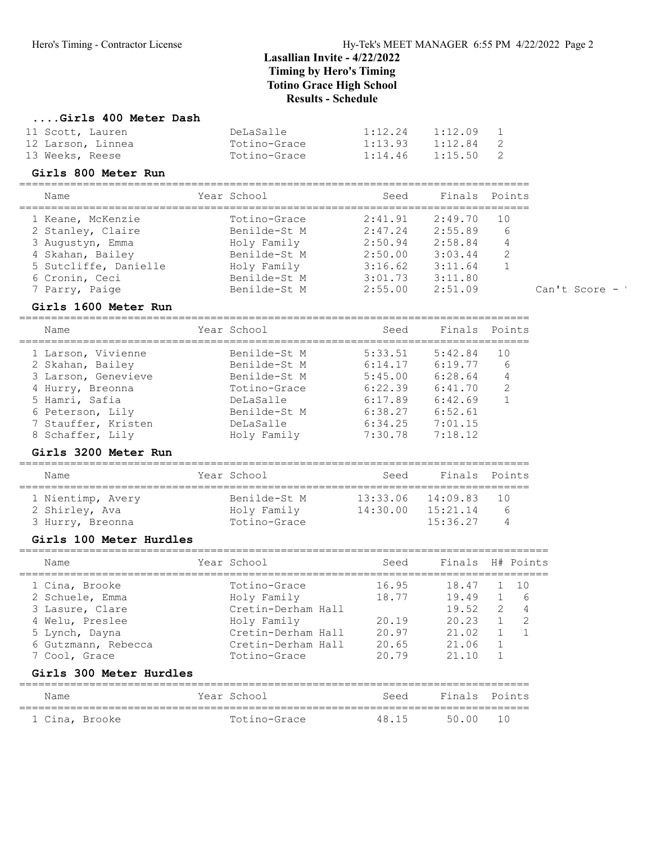7 Parry, Paige Benilde-St M 2:55.00 2:51.09 Can't Score - '

# ....Girls 400 Meter Dash

| 11 Scott, Lauren  | DeLaSalle    | 1:12.24 | 1:12.09 |                |
|-------------------|--------------|---------|---------|----------------|
| 12 Larson, Linnea | Totino-Grace | 1:13.93 | 1:12.84 | $\overline{2}$ |
| 13 Weeks, Reese   | Totino-Grace | 1:14.46 | 1:15.50 | 2              |

#### Girls 800 Meter Run

| Name                  | Year School  | Seed    | Finals Points |               |
|-----------------------|--------------|---------|---------------|---------------|
| 1 Keane, McKenzie     | Totino-Grace | 2:41.91 | 2:49.70       | 1 O           |
| 2 Stanley, Claire     | Benilde-St M | 2:47.24 | 2:55.89       | 6             |
| 3 Augustyn, Emma      | Holy Family  | 2:50.94 | 2:58.84       | 4             |
| 4 Skahan, Bailey      | Benilde-St M | 2:50.00 | 3:03.44       | $\mathcal{L}$ |
| 5 Sutcliffe, Danielle | Holy Family  | 3:16.62 | 3:11.64       |               |
| 6 Cronin, Ceci        | Benilde-St M | 3:01.73 | 3:11.80       |               |

Girls 1600 Meter Run

================================================================================

| Name                | Year School  | Seed    |         | Finals Points |
|---------------------|--------------|---------|---------|---------------|
| 1 Larson, Vivienne  | Benilde-St M | 5:33.51 | 5:42.84 | 10            |
| 2 Skahan, Bailey    | Benilde-St M | 6:14.17 | 6:19.77 | 6             |
| 3 Larson, Genevieve | Benilde-St M | 5:45.00 | 6:28.64 | 4             |
| 4 Hurry, Breonna    | Totino-Grace | 6:22.39 | 6:41.70 | $\mathcal{L}$ |
| 5 Hamri, Safia      | DeLaSalle    | 6:17.89 | 6:42.69 |               |
| 6 Peterson, Lily    | Benilde-St M | 6:38.27 | 6:52.61 |               |
| 7 Stauffer, Kristen | DeLaSalle    | 6:34.25 | 7:01.15 |               |
| 8 Schaffer, Lily    | Holy Family  | 7:30.78 | 7:18.12 |               |
|                     |              |         |         |               |

#### Girls 3200 Meter Run

| Name                                                    | Year School                                 | Seed                 | Finals Points                    |                     |
|---------------------------------------------------------|---------------------------------------------|----------------------|----------------------------------|---------------------|
| 1 Nientimp, Avery<br>2 Shirley, Ava<br>3 Hurry, Breonna | Benilde-St M<br>Holy Family<br>Totino-Grace | 13:33.06<br>14:30.00 | 14:09.83<br>15:21.14<br>15:36.27 | 10<br>h<br>$\Delta$ |

## Girls 100 Meter Hurdles

| Name                | Year School        | Seed  | Finals H# Points |   |     |
|---------------------|--------------------|-------|------------------|---|-----|
| 1 Cina, Brooke      | Totino-Grace       | 16.95 | 18.47            |   | 10  |
| 2 Schuele, Emma     | Holy Family        | 18.77 | 19.49            |   | -6  |
| 3 Lasure, Clare     | Cretin-Derham Hall |       | 19.52            | 2 |     |
| 4 Welu, Preslee     | Holy Family        | 20.19 | 20.23            |   | - 2 |
| 5 Lynch, Dayna      | Cretin-Derham Hall | 20.97 | 21.02            |   |     |
| 6 Gutzmann, Rebecca | Cretin-Derham Hall | 20.65 | 21.06            |   |     |
| 7 Cool, Grace       | Totino-Grace       | 20.79 | 21 10            |   |     |
|                     |                    |       |                  |   |     |

## Girls 300 Meter Hurdles

| Name           | Year School  | Seed  | Finals Points |  |
|----------------|--------------|-------|---------------|--|
| 1 Cina, Brooke | Totino-Grace | 48 15 | 5000 10       |  |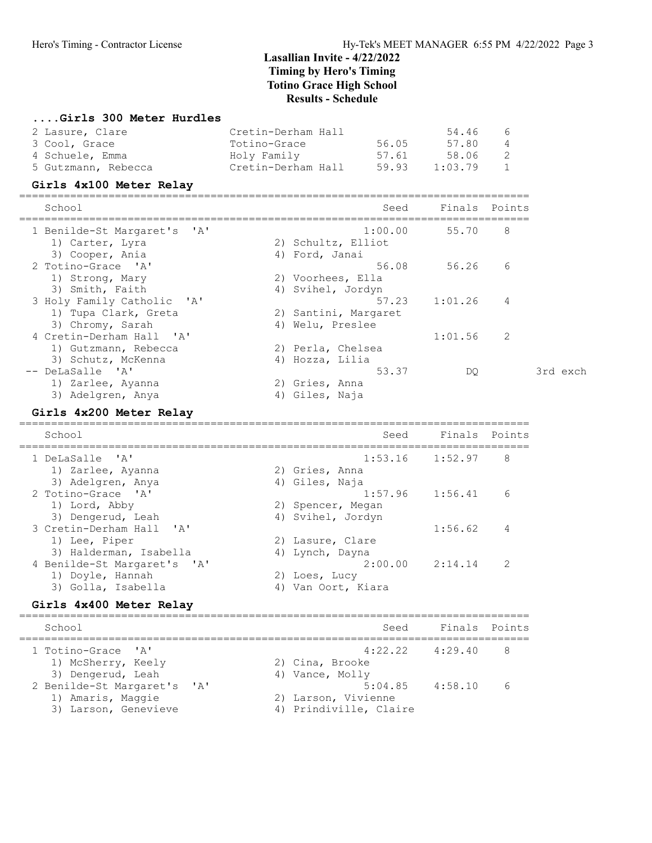#### ....Girls 300 Meter Hurdles

| 2 Lasure, Clare     | Cretin-Derham Hall |       | 54.46   | - 6 |
|---------------------|--------------------|-------|---------|-----|
| 3 Cool, Grace       | Totino-Grace       | 56.05 | 57.80   | 4   |
| 4 Schuele, Emma     | Holy Family        | 57.61 | 58.06   | - 2 |
| 5 Gutzmann, Rebecca | Cretin-Derham Hall | 59.93 | 1:03.79 |     |

#### Girls 4x100 Meter Relay

================================================================================ School Seed Finals Points ================================================================================ 1 Benilde-St Margaret's 'A' 1:00.00 55.70 8<br>1) Carter, Lyra 2) Schultz, Elliot<br>3) Cooper, Ania 4) Ford, Janai 1) Carter, Lyra 2) Schultz, Elliot 3) Cooper, Ania (4) Ford, Janai 2 Totino-Grace 'A' 56.08 56.26 6 1) Strong, Mary 2) Voorhees, Ella 3) Smith, Faith  $4$ ) Svihel, Jordyn 3 Holy Family Catholic 'A' 57.23 1:01.26 4 1) Tupa Clark, Greta 2) Santini, Margaret 3) Chromy, Sarah (4) Welu, Preslee 4 Cretin-Derham Hall 'A' 1:01.56 2 1) Gutzmann, Rebecca 2) Perla, Chelsea 3) Schutz, McKenna (4) Hozza, Lilia -- DeLaSalle 'A' 53.37 DQ 3rd exch 1) Zarlee, Ayanna 2) Gries, Anna 3) Adelgren, Anya (4) Giles, Naja

#### Girls 4x200 Meter Relay

================================================================================ School Seed Finals Points ================================================================================ 1 DeLaSalle 'A' 1:53.16 1:52.97 8 1) Zarlee, Ayanna 2) Gries, Anna 3) Adelgren, Anya (4) Giles, Naja 2 Totino-Grace 'A' 1:57.96 1:56.41 6 1) Lord, Abby 2) Spencer, Megan 3) Dengerud, Leah 1988 (4) Svihel, Jordyn 3 Cretin-Derham Hall 'A' 1:56.62 4 1) Lee, Piper 2) Lasure, Clare 3) Halderman, Isabella (4) Lynch, Dayna 4 Benilde-St Margaret's 'A' 2:00.00 2:14.14 2 1) Doyle, Hannah 2) Loes, Lucy 3) Golla, Isabella 4) Van Oort, Kiara

#### Girls 4x400 Meter Relay

| School                                                                   | Seed                                          | Finals Points       |            |
|--------------------------------------------------------------------------|-----------------------------------------------|---------------------|------------|
| 1 Totino-Grace 'A'<br>1) McSherry, Keely<br>3) Dengerud, Leah            | 2) Cina, Brooke<br>4) Vance, Molly            | $4:22.22$ $4:29.40$ | - 8        |
| 2 Benilde-St Margaret's 'A'<br>1) Amaris, Maggie<br>3) Larson, Genevieve | 2) Larson, Vivienne<br>4) Prindiville, Claire | $5:04.85$ $4:58.10$ | $\epsilon$ |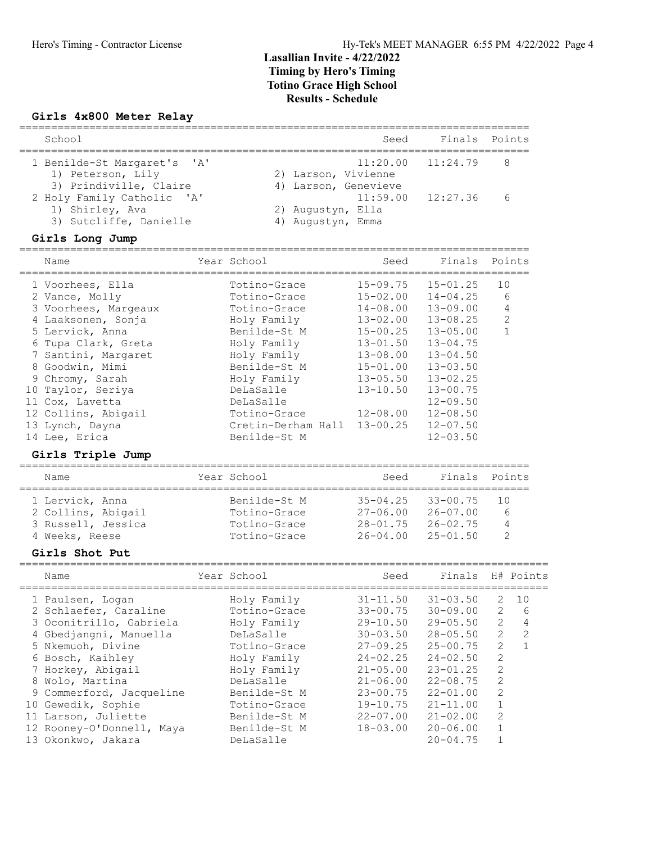## Girls 4x800 Meter Relay

| School                                                                  |      |                                             | Seed                         | Finals Points                |                               |              |
|-------------------------------------------------------------------------|------|---------------------------------------------|------------------------------|------------------------------|-------------------------------|--------------|
| 1 Benilde-St Margaret's<br>1) Peterson, Lily<br>3) Prindiville, Claire  | ' A' | 2) Larson, Vivienne<br>4) Larson, Genevieve | 11:20.00                     | 11:24.79                     | 8                             |              |
| 2 Holy Family Catholic 'A'<br>1) Shirley, Ava<br>3) Sutcliffe, Danielle |      | 2) Augustyn, Ella<br>4) Augustyn, Emma      | 11:59.00                     | 12:27.36                     | 6                             |              |
| Girls Long Jump                                                         |      |                                             |                              |                              |                               |              |
| Name                                                                    |      | Year School                                 | Seed                         | Finals                       | Points                        |              |
| 1 Voorhees, Ella                                                        |      | Totino-Grace                                | $15 - 09.75$                 | $15 - 01.25$                 | 10                            |              |
| 2 Vance, Molly                                                          |      | Totino-Grace                                | $15 - 02.00$                 | $14 - 04.25$                 | 6                             |              |
| 3 Voorhees, Margeaux                                                    |      | Totino-Grace                                | $14 - 08.00$                 | $13 - 09.00$                 | 4                             |              |
| 4 Laaksonen, Sonja                                                      |      | Holy Family                                 | $13 - 02.00$                 | $13 - 08.25$                 | 2                             |              |
| 5 Lervick, Anna                                                         |      | Benilde-St M                                | $15 - 00.25$                 | $13 - 05.00$                 | $\mathbf{1}$                  |              |
| 6 Tupa Clark, Greta                                                     |      | Holy Family                                 | $13 - 01.50$                 | $13 - 04.75$                 |                               |              |
| 7 Santini, Margaret                                                     |      | Holy Family                                 | $13 - 08.00$                 | $13 - 04.50$                 |                               |              |
| 8 Goodwin, Mimi                                                         |      | Benilde-St M                                | $15 - 01.00$                 | $13 - 03.50$                 |                               |              |
| 9 Chromy, Sarah                                                         |      | Holy Family                                 | $13 - 05.50$                 | $13 - 02.25$                 |                               |              |
| 10 Taylor, Seriya                                                       |      | DeLaSalle                                   | $13 - 10.50$                 | $13 - 00.75$                 |                               |              |
| 11 Cox, Lavetta                                                         |      | DeLaSalle                                   |                              | $12 - 09.50$                 |                               |              |
|                                                                         |      | Totino-Grace                                | $12 - 08.00$                 | $12 - 08.50$                 |                               |              |
| 12 Collins, Abigail                                                     |      |                                             | $13 - 00.25$                 |                              |                               |              |
| 13 Lynch, Dayna                                                         |      | Cretin-Derham Hall<br>Benilde-St M          |                              | $12 - 07.50$                 |                               |              |
| 14 Lee, Erica<br>Girls Triple Jump                                      |      |                                             |                              | $12 - 03.50$                 |                               |              |
| Name                                                                    |      | Year School                                 | Seed                         | Finals                       | Points                        |              |
|                                                                         |      |                                             |                              |                              |                               |              |
| 1 Lervick, Anna                                                         |      | Benilde-St M                                | $35 - 04.25$                 | $33 - 00.75$                 | 10                            |              |
| 2 Collins, Abigail                                                      |      | Totino-Grace                                | $27 - 06.00$                 | $26 - 07.00$                 | 6                             |              |
| 3 Russell, Jessica                                                      |      | Totino-Grace                                | $28 - 01.75$                 | $26 - 02.75$                 | 4                             |              |
| 4 Weeks, Reese                                                          |      | Totino-Grace                                | $26 - 04.00$                 | $25 - 01.50$                 | 2                             |              |
| Girls Shot Put                                                          |      |                                             |                              |                              |                               |              |
| Name                                                                    |      | Year School                                 | Seed                         | Finals                       |                               | H# Points    |
| 1 Paulsen, Logan                                                        |      | Holy Family                                 | $31 - 11.50$                 | $31 - 03.50$                 | $\overline{\phantom{a}}$      | 10           |
| 2 Schlaefer, Caraline                                                   |      | Totino-Grace                                | $33 - 00.75$                 | $30 - 09.00$                 | 2                             | 6            |
| 3 Oconitrillo, Gabriela                                                 |      | Holy Family                                 | $29 - 10.50$                 | $29 - 05.50$                 | $\mathbf{2}$                  | 4            |
| 4 Gbedjangni, Manuella                                                  |      |                                             |                              |                              | 2                             | $\sqrt{2}$   |
|                                                                         |      | DeLaSalle                                   | $30 - 03.50$                 |                              |                               |              |
|                                                                         |      |                                             |                              | $28 - 05.50$                 |                               | $\mathbf{1}$ |
| 5 Nkemuoh, Divine                                                       |      | Totino-Grace                                | $27 - 09.25$                 | $25 - 00.75$                 | 2                             |              |
| 6 Bosch, Kaihley                                                        |      | Holy Family                                 | $24 - 02.25$                 | $24 - 02.50$                 | 2                             |              |
| 7 Horkey, Abigail                                                       |      | Holy Family                                 | $21 - 05.00$                 | $23 - 01.25$                 | $\overline{c}$                |              |
| 8 Wolo, Martina                                                         |      | DeLaSalle                                   | $21 - 06.00$                 | $22 - 08.75$                 | $\overline{c}$                |              |
| 9 Commerford, Jacqueline                                                |      | Benilde-St M                                | $23 - 00.75$                 | $22 - 01.00$                 | $\overline{c}$                |              |
| 10 Gewedik, Sophie                                                      |      | Totino-Grace                                | $19 - 10.75$                 | $21 - 11.00$                 | 1                             |              |
| 11 Larson, Juliette<br>12 Rooney-O'Donnell, Maya                        |      | Benilde-St M<br>Benilde-St M                | $22 - 07.00$<br>$18 - 03.00$ | $21 - 02.00$<br>$20 - 06.00$ | $\overline{c}$<br>$\mathbf 1$ |              |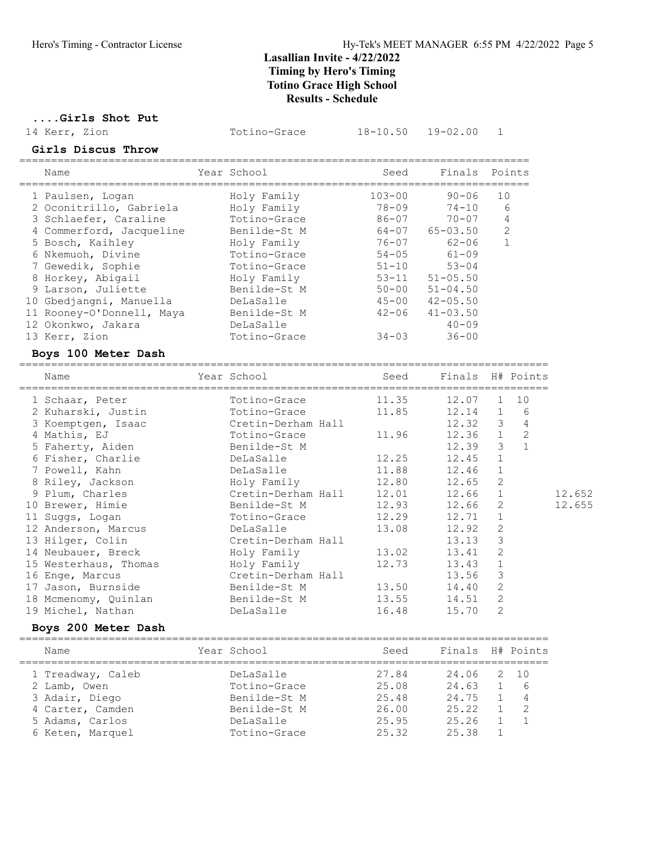....Girls Shot Put

14 Kerr, Zion Totino-Grace 18-10.50 19-02.00 1

# Girls Discus Throw

| Name                      | Year School |              | Seed       | Finals       | Points         |
|---------------------------|-------------|--------------|------------|--------------|----------------|
| 1 Paulsen, Logan          |             | Holy Family  | $103 - 00$ | $90 - 06$    | 10             |
| 2 Oconitrillo, Gabriela   |             | Holy Family  | $78 - 09$  | $74 - 10$    | 6              |
| 3 Schlaefer, Caraline     |             | Totino-Grace | $86 - 07$  | $70 - 07$    | 4              |
| 4 Commerford, Jacqueline  |             | Benilde-St M | $64 - 07$  | $65 - 03.50$ | $\overline{2}$ |
| 5 Bosch, Kaihley          |             | Holy Family  | $76 - 07$  | $62 - 06$    |                |
| 6 Nkemuoh, Divine         |             | Totino-Grace | $54 - 05$  | $61 - 09$    |                |
| 7 Gewedik, Sophie         |             | Totino-Grace | $51 - 10$  | $53 - 04$    |                |
| 8 Horkey, Abigail         |             | Holy Family  | $53 - 11$  | $51 - 05.50$ |                |
| 9 Larson, Juliette        |             | Benilde-St M | $50 - 00$  | $51 - 04.50$ |                |
| 10 Gbedjangni, Manuella   |             | DeLaSalle    | $45 - 00$  | $42 - 05.50$ |                |
| 11 Rooney-O'Donnell, Maya |             | Benilde-St M | $42 - 06$  | $41 - 03.50$ |                |
| 12 Okonkwo, Jakara        |             | DeLaSalle    |            | $40 - 09$    |                |
| 13 Kerr, Zion             |             | Totino-Grace | $34 - 03$  | $36 - 00$    |                |
|                           |             |              |            |              |                |

#### Boys 100 Meter Dash

| Name                               | Year School                     | Seed  | Finals H# Points |              |                |        |
|------------------------------------|---------------------------------|-------|------------------|--------------|----------------|--------|
| 1 Schaar, Peter                    | Totino-Grace                    | 11.35 | 12.07            |              | 1 10           |        |
| 2 Kuharski, Justin                 | Totino-Grace                    |       | 11.85 12.14 1 6  |              |                |        |
| 3 Koemptgen, Isaac                 | Cretin-Derham Hall              |       | 12.32 3          |              | $\overline{4}$ |        |
| 4 Mathis, EJ                       | Totino-Grace                    | 11.96 | $12.36$ 1 2      |              |                |        |
| 5 Faherty, Aiden                   | Benilde-St M                    |       | $12.39$ 3 1      |              |                |        |
| 6 Fisher, Charlie <b>DeLaSalle</b> |                                 |       | 12.25 12.45 1    |              |                |        |
| 7 Powell, Kahn                     | DeLaSalle and the DeLaSalle     | 11.88 | 12.46            | $\mathbf{1}$ |                |        |
| 8 Riley, Jackson                   | Holy Family                     |       | 12.80 12.65      | 2            |                |        |
| 9 Plum, Charles                    | Cretin-Derham Hall              |       | 12.01 12.66      | 1            |                | 12.652 |
| 10 Brewer, Himie                   | Benilde-St M                    | 12.93 | 12.66            | 2            |                | 12.655 |
| 11 Suggs, Logan                    | Totino-Grace                    | 12.29 | 12.71            | 1            |                |        |
| 12 Anderson, Marcus                | DeLaSalle                       | 13.08 | 12.92            | $\mathbf{2}$ |                |        |
| 13 Hilger, Colin                   | Cretin-Derham Hall              |       | 13.13            | 3            |                |        |
| 14 Neubauer, Breck                 | Holy Family                     | 13.02 | 13.41            | 2            |                |        |
| 15 Westerhaus, Thomas              | Holy Family                     | 12.73 | 13.43            |              |                |        |
| 16 Enge, Marcus                    | Cretin-Derham Hall              |       | 13.56            | 3            |                |        |
|                                    | 17 Jason, Burnside Benilde-St M | 13.50 | 14.40            | 2            |                |        |
| 18 Mcmenomy, Quinlan               | Benilde-St M                    | 13.55 | 14.51            | 2            |                |        |
| 19 Michel, Nathan                  | DeLaSalle                       | 16.48 | 15.70            | 2            |                |        |
|                                    |                                 |       |                  |              |                |        |

#### Boys 200 Meter Dash

| Name                                                | Year School                               | Seed                    | Finals H# Points        |                              |
|-----------------------------------------------------|-------------------------------------------|-------------------------|-------------------------|------------------------------|
| 1 Treadway, Caleb<br>2 Lamb, Owen<br>3 Adair, Diego | DeLaSalle<br>Totino-Grace<br>Benilde-St M | 27.84<br>25.08<br>25.48 | 24.06<br>24.63<br>24.75 | 2 10<br>-6<br>$\overline{4}$ |
| 4 Carter, Camden<br>5 Adams, Carlos                 | Benilde-St M<br>DeLaSalle                 | 26.00<br>25.95          | 25.22<br>25.26          | -2                           |
| 6 Keten, Marquel                                    | Totino-Grace                              | 25.32                   | 2538                    |                              |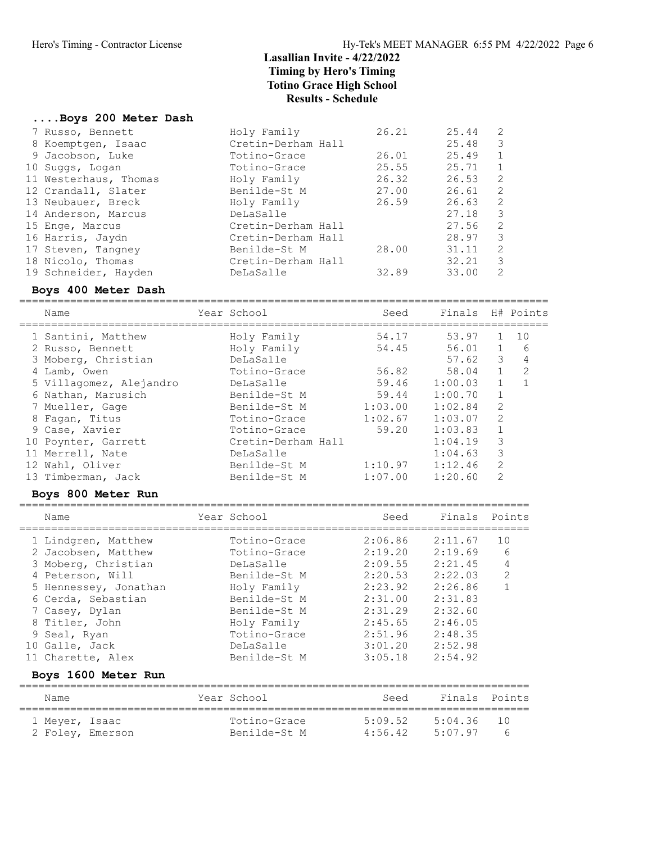#### ....Boys 200 Meter Dash

| 7 Russo, Bennett      | Holy Family        | 26.21 | 25.44 | 2             |
|-----------------------|--------------------|-------|-------|---------------|
| 8 Koemptgen, Isaac    | Cretin-Derham Hall |       | 25.48 | $\mathcal{E}$ |
| 9 Jacobson, Luke      | Totino-Grace       | 26.01 | 25.49 | 1             |
| 10 Suggs, Logan       | Totino-Grace       | 25.55 | 25.71 | 1             |
| 11 Westerhaus, Thomas | Holy Family        | 26.32 | 26.53 | 2             |
| 12 Crandall, Slater   | Benilde-St M       | 27.00 | 26.61 | 2             |
| 13 Neubauer, Breck    | Holy Family        | 26.59 | 26.63 | 2             |
| 14 Anderson, Marcus   | DeLaSalle          |       | 27.18 | -3            |
| 15 Enge, Marcus       | Cretin-Derham Hall |       | 27.56 | 2             |
| 16 Harris, Jaydn      | Cretin-Derham Hall |       | 28.97 | 3             |
| 17 Steven, Tangney    | Benilde-St M       | 28.00 | 31.11 | 2             |
| 18 Nicolo, Thomas     | Cretin-Derham Hall |       | 32.21 | 3             |
| 19 Schneider, Hayden  | DeLaSalle          | 32.89 | 33.00 | 2             |

### Boys 400 Meter Dash

=================================================================================== Name Year School Seed Finals H# Points

| TEAT PCHOOT                          | beea    |         |                  |                                                       |
|--------------------------------------|---------|---------|------------------|-------------------------------------------------------|
| Holy Family                          | 54.17   |         |                  | 10                                                    |
| Holy Family                          | 54.45   |         |                  | 6                                                     |
| DeLaSalle                            |         | 57.62   | 3                | 4                                                     |
| Totino-Grace                         | 56.82   | 58.04   | 1                | -2                                                    |
| 5 Villagomez, Alejandro<br>DeLaSalle | 59.46   |         |                  |                                                       |
| Benilde-St M                         | 59.44   | 1:00.70 | $\overline{1}$   |                                                       |
| Benilde-St M                         | 1:03.00 | 1:02.84 | 2                |                                                       |
| Totino-Grace                         |         | 1:03.07 | 2                |                                                       |
| Totino-Grace                         |         | 1:03.83 |                  |                                                       |
| Cretin-Derham Hall                   |         | 1:04.19 | 3                |                                                       |
| DeLaSalle                            |         | 1:04.63 | 3                |                                                       |
| Benilde-St M                         | 1:10.97 | 1:12.46 | 2                |                                                       |
| Benilde-St M                         | 1:07.00 | 1:20.60 | 2                |                                                       |
|                                      |         |         | 1:02.67<br>59.20 | PINAIS - A# POINUS<br>53.97<br>56.01 1<br>$1:00.03$ 1 |

#### Boys 800 Meter Run

================================================================================

| Name                  | Year School  | Seed    | Finals Points |                |
|-----------------------|--------------|---------|---------------|----------------|
| 1 Lindgren, Matthew   | Totino-Grace | 2:06.86 | 2:11.67       | 10             |
| 2 Jacobsen, Matthew   | Totino-Grace | 2:19.20 | 2:19.69       | 6              |
| 3 Moberg, Christian   | DeLaSalle    | 2:09.55 | 2:21.45       | 4              |
| 4 Peterson, Will      | Benilde-St M | 2:20.53 | 2:22.03       | $\overline{2}$ |
| 5 Hennessey, Jonathan | Holy Family  | 2:23.92 | 2:26.86       |                |
| 6 Cerda, Sebastian    | Benilde-St M | 2:31.00 | 2:31.83       |                |
| 7 Casey, Dylan        | Benilde-St M | 2:31.29 | 2:32.60       |                |
| 8 Titler, John        | Holy Family  | 2:45.65 | 2:46.05       |                |
| 9 Seal, Ryan          | Totino-Grace | 2:51.96 | 2:48.35       |                |
| 10 Galle, Jack        | DeLaSalle    | 3:01.20 | 2:52.98       |                |
| 11 Charette, Alex     | Benilde-St M | 3:05.18 | 2:54.92       |                |
| Boys 1600 Meter Run   |              |         |               |                |
| Name                  | Year School  | Seed    | Finals        | Points         |
|                       |              |         |               |                |

 1 Meyer, Isaac Totino-Grace 5:09.52 5:04.36 10 2 Foley, Emerson Benilde-St M 4:56.42 5:07.97 6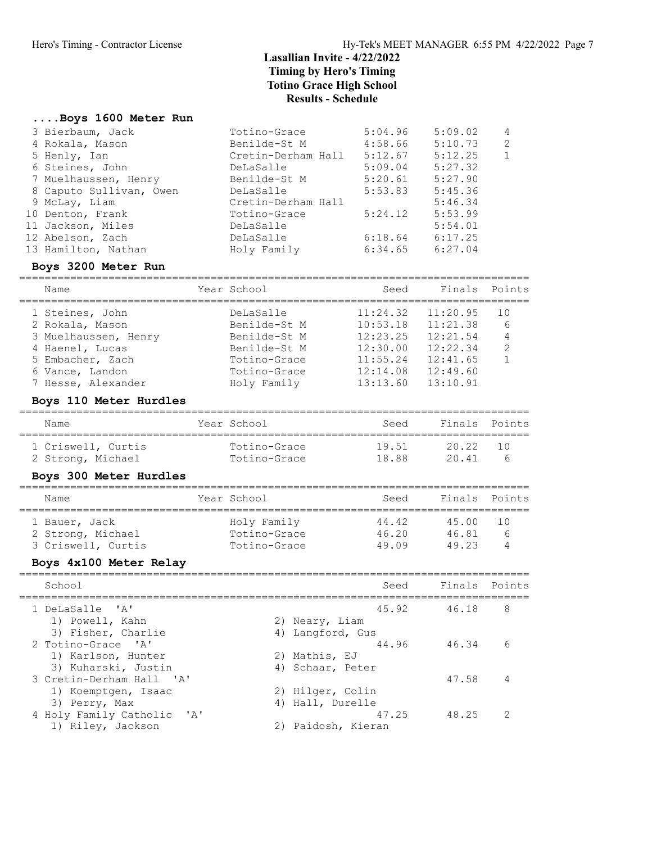#### ....Boys 1600 Meter Run

| 3 Bierbaum, Jack        | Totino-Grace       | 5:04.96 | 5:09.02 | $\overline{4}$ |
|-------------------------|--------------------|---------|---------|----------------|
| 4 Rokala, Mason         | Benilde-St M       | 4:58.66 | 5:10.73 | 2              |
| 5 Henly, Ian            | Cretin-Derham Hall | 5:12.67 | 5:12.25 | 1              |
| 6 Steines, John         | DeLaSalle          | 5:09.04 | 5:27.32 |                |
| 7 Muelhaussen, Henry    | Benilde-St M       | 5:20.61 | 5:27.90 |                |
| 8 Caputo Sullivan, Owen | DeLaSalle          | 5:53.83 | 5:45.36 |                |
| 9 McLay, Liam           | Cretin-Derham Hall |         | 5:46.34 |                |
| 10 Denton, Frank        | Totino-Grace       | 5:24.12 | 5:53.99 |                |
| 11 Jackson, Miles       | DeLaSalle          |         | 5:54.01 |                |
| 12 Abelson, Zach        | DeLaSalle          | 6:18.64 | 6:17.25 |                |
| 13 Hamilton, Nathan     | Holy Family        | 6:34.65 | 6:27.04 |                |
|                         |                    |         |         |                |

## Boys 3200 Meter Run

| Name                 | Year School  | Seed     | Finals Points |               |
|----------------------|--------------|----------|---------------|---------------|
| 1 Steines, John      | DeLaSalle    | 11:24.32 | 11:20.95      | 10            |
| 2 Rokala, Mason      | Benilde-St M | 10:53.18 | 11:21.38      | 6             |
| 3 Muelhaussen, Henry | Benilde-St M | 12:23.25 | 12:21.54      | 4             |
| 4 Haenel, Lucas      | Benilde-St M | 12:30.00 | 12:22.34      | $\mathcal{L}$ |
| 5 Embacher, Zach     | Totino-Grace | 11:55.24 | 12:41.65      |               |
| 6 Vance, Landon      | Totino-Grace | 12:14.08 | 12:49.60      |               |
| 7 Hesse, Alexander   | Holy Family  | 13:13.60 | 13:10.91      |               |
|                      |              |          |               |               |

## Boys 110 Meter Hurdles

| Name               | Year School  | Seed  | Finals Points |       |
|--------------------|--------------|-------|---------------|-------|
| 1 Criswell, Curtis | Totino-Grace | 19.51 | 2022          | - 1 N |
| 2 Strong, Michael  | Totino-Grace | 18 88 | 2041          | h     |

## Boys 300 Meter Hurdles

| Name                               | Year School                 | Seed           | Finals Points  |                   |
|------------------------------------|-----------------------------|----------------|----------------|-------------------|
| 1 Bauer, Jack<br>2 Strong, Michael | Holy Family<br>Totino-Grace | 44.42<br>46.20 | 45.00<br>46.81 | - 1 N<br>$\kappa$ |
| 3 Criswell, Curtis                 | Totino-Grace                | 49 09          | 49 23          |                   |

# Boys 4x100 Meter Relay

| School                                                                 | Seed                                            | Finals Points |               |
|------------------------------------------------------------------------|-------------------------------------------------|---------------|---------------|
| 1 DeLaSalle 'A'<br>1) Powell, Kahn                                     | 45.92<br>2) Neary, Liam                         | 46.18         | 8             |
| 3) Fisher, Charlie<br>2 Totino-Grace 'A'<br>1) Karlson, Hunter         | 4) Langford, Gus<br>44.96<br>2) Mathis, EJ      | 46.34         | 6             |
| 3) Kuharski, Justin<br>3 Cretin-Derham Hall 'A'<br>1) Koemptgen, Isaac | 4) Schaar, Peter<br>2) Hilger, Colin            | 47.58         |               |
| 3) Perry, Max<br>4 Holy Family Catholic 'A'<br>1) Riley, Jackson       | 4) Hall, Durelle<br>47.25<br>2) Paidosh, Kieran | 48.25         | $\mathcal{P}$ |
|                                                                        |                                                 |               |               |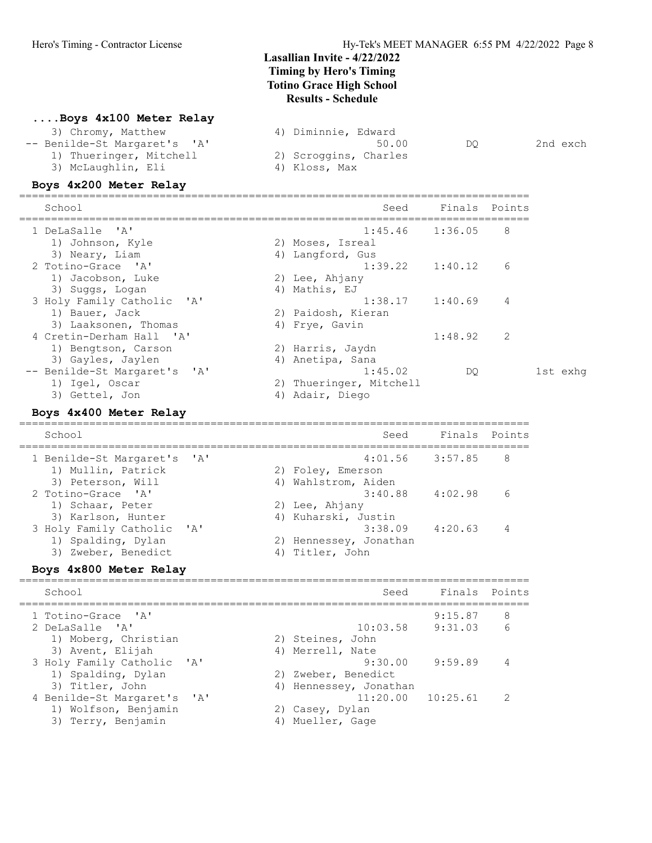#### ....Boys 4x100 Meter Relay

| 3) Chromy, Matthew           | 4) Diminnie, Edward      |
|------------------------------|--------------------------|
| -- Benilde-St Margaret's 'A' | 2nd exch<br>50.00<br>DO. |
| 1) Thueringer, Mitchell      | 2) Scroggins, Charles    |
| 3) McLaughlin, Eli           | 4) Kloss, Max            |

#### Boys 4x200 Meter Relay

| School                                 |    | Seed                    | Finals  | Points        |          |
|----------------------------------------|----|-------------------------|---------|---------------|----------|
| 1 DeLaSalle 'A'                        |    | $1:45.46$ $1:36.05$     |         | 8             |          |
| 1) Johnson, Kyle                       |    | 2) Moses, Isreal        |         |               |          |
| 3) Neary, Liam                         |    | 4) Langford, Gus        |         |               |          |
| 2 Totino-Grace 'A'                     |    | 1:39.22                 | 1:40.12 | 6             |          |
| 1) Jacobson, Luke                      |    | 2) Lee, Ahjany          |         |               |          |
| 3) Suggs, Logan                        |    | 4) Mathis, EJ           |         |               |          |
| 3 Holy Family Catholic 'A'             |    | $1:38.17$ $1:40.69$     |         | 4             |          |
| 1) Bauer, Jack                         |    | 2) Paidosh, Kieran      |         |               |          |
| 3) Laaksonen, Thomas                   |    | 4) Frye, Gavin          |         |               |          |
| 4 Cretin-Derham Hall<br><b>. ' ∧ '</b> |    |                         | 1:48.92 | $\mathcal{L}$ |          |
| 1) Bengtson, Carson                    |    | 2) Harris, Jaydn        |         |               |          |
| 3) Gayles, Jaylen                      |    | 4) Anetipa, Sana        |         |               |          |
| -- Benilde-St Margaret's 'A'           |    | 1:45.02                 | DO      |               | 1st exhq |
| 1) Igel, Oscar                         |    | 2) Thueringer, Mitchell |         |               |          |
| 3) Gettel, Jon                         | 4) | Adair, Diego            |         |               |          |

#### Boys 4x400 Meter Relay

================================================================================ School Seed Finals Points ================================================================================ 1 Benilde-St Margaret's 'A' 4:01.56 3:57.85 8 1) Mullin, Patrick 2) Foley, Emerson 3) Peterson, Will 4) Wahlstrom, Aiden 2 Totino-Grace 'A' 3:40.88 4:02.98 6 1) Schaar, Peter 2) Lee, Ahjany 3) Karlson, Hunter (4) Kuharski, Justin 3 Holy Family Catholic 'A' 3:38.09 4:20.63 4 1) Spalding, Dylan 2) Hennessey, Jonathan 3) Zweber, Benedict (4) Titler, John

#### Boys 4x800 Meter Relay ================================================================================

| School                      | Seed                   | Finals Points |               |
|-----------------------------|------------------------|---------------|---------------|
| 1 Totino-Grace 'A'          |                        | 9:15.87       | 8             |
| 2 DeLaSalle 'A'             | 10:03.58               | 9:31.03       | 6             |
| 1) Moberg, Christian        | 2) Steines, John       |               |               |
| 3) Avent, Elijah            | 4) Merrell, Nate       |               |               |
| 3 Holy Family Catholic 'A'  | 9:30.00                | 9:59.89       |               |
| 1) Spalding, Dylan          | 2) Zweber, Benedict    |               |               |
| 3) Titler, John             | 4) Hennessey, Jonathan |               |               |
| 4 Benilde-St Margaret's 'A' | $11:20.00$ $10:25.61$  |               | $\mathcal{P}$ |
| 1) Wolfson, Benjamin        | 2) Casey, Dylan        |               |               |
| 3) Terry, Benjamin          | Mueller, Gage          |               |               |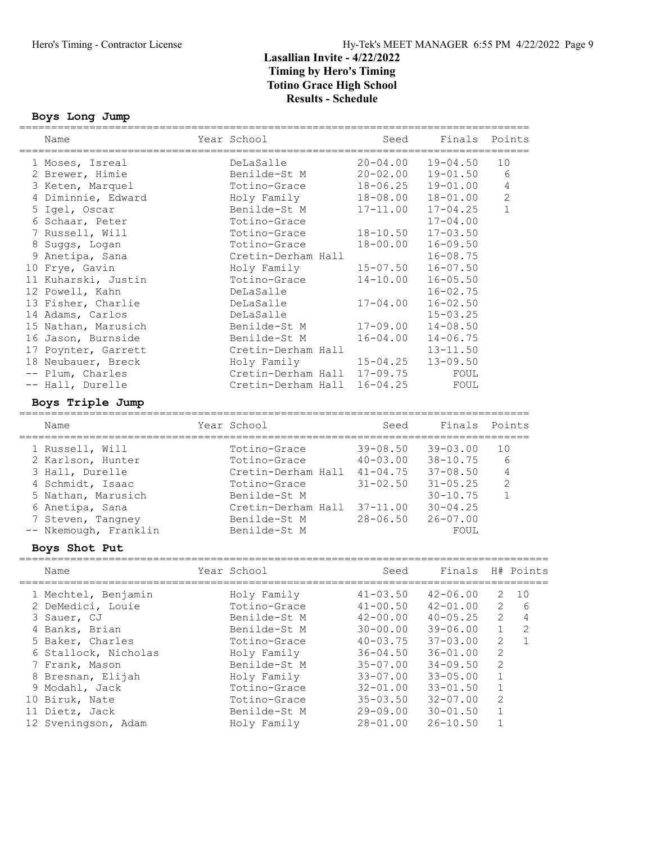#### Boys Long Jump

| Year School<br>Finals Points<br>Name<br>====================================<br>DeLaSalle<br>$20 - 04.00$<br>$19 - 04.50$<br>10<br>1 Moses, Isreal<br>6<br>Benilde-St M<br>$20 - 02.00$<br>$19 - 01.50$<br>2 Brewer, Himie<br>$\overline{4}$<br>Totino-Grace<br>$18 - 06.25$<br>$19 - 01.00$<br>3 Keten, Marquel<br>$\sqrt{2}$<br>4 Diminnie, Edward<br>Holy Family<br>18-08.00<br>$18 - 01.00$<br>$\mathbf{1}$<br>Benilde-St M<br>$17 - 11.00$<br>$17 - 04.25$<br>5 Igel, Oscar<br>6 Schaar, Peter<br>Totino-Grace<br>$17 - 04.00$<br>7 Russell, Will<br>$18 - 10.50$<br>$17 - 03.50$<br>Totino-Grace<br>Totino-Grace<br>$18 - 00.00$<br>$16 - 09.50$<br>8 Suggs, Logan<br>Cretin-Derham Hall<br>$16 - 08.75$<br>9 Anetipa, Sana<br>$15 - 07.50$<br>$16 - 07.50$<br>Holy Family<br>Totino-Grace<br>$14 - 10.00$<br>$16 - 05.50$<br>$16 - 02.75$<br>DeLaSalle<br>DeLaSalle<br>$17 - 04.00$<br>$16 - 02.50$<br>14 Adams, Carlos<br>DeLaSalle<br>$15 - 03.25$<br>$17 - 09.00$<br>15 Nathan, Marusich<br>Benilde-St M<br>$14 - 08.50$<br>16 Jason, Burnside<br>Benilde-St M<br>$16 - 04.00$<br>$14 - 06.75$<br>17 Poynter, Garrett<br>Cretin-Derham Hall<br>$13 - 11.50$<br>18 Neubauer, Breck<br>$15 - 04.25$<br>$13 - 09.50$<br>Holy Family<br>-- Plum, Charles<br>Cretin-Derham Hall<br>$17 - 09.75$<br>FOUL<br>-- Hall, Durelle<br>Cretin-Derham Hall<br>$16 - 04.25$<br>FOUL<br>Boys Triple Jump<br>Year School<br>Seed<br>Finals<br>Points<br>Name<br>$39 - 08.50$<br>$39 - 03.00$<br>10<br>1 Russell, Will<br>Totino-Grace<br>6<br>2 Karlson, Hunter<br>Totino-Grace<br>$40 - 03.00$<br>$38 - 10.75$<br>$\overline{4}$<br>3 Hall, Durelle<br>Cretin-Derham Hall 41-04.75<br>$37 - 08.50$<br>$\mathbf{2}$<br>4 Schmidt, Isaac<br>$31 - 02.50$<br>$31 - 05.25$<br>Totino-Grace<br>5 Nathan, Marusich<br>$30 - 10.75$<br>$\mathbf{1}$<br>Benilde-St M<br>Cretin-Derham Hall 37-11.00<br>$30 - 04.25$<br>6 Anetipa, Sana<br>$28 - 06.50$<br>$26 - 07.00$<br>7 Steven, Tangney<br>Benilde-St M<br>-- Nkemough, Franklin<br>Benilde-St M<br>FOUL<br>Boys Shot Put<br>Year School<br>Seed<br>Finals<br>Name<br>H# Points<br>1 Mechtel, Benjamin<br>$41 - 03.50$<br>$42 - 06.00$<br>2<br>10<br>Holy Family<br>$\mathbf{2}$<br>2 DeMedici, Louie<br>$41 - 00.50$<br>Totino-Grace<br>$42 - 01.00$<br>6<br>$\mathbf{2}$<br>3 Sauer, CJ<br>Benilde-St M<br>$42 - 00.00$<br>$40 - 05.25$<br>4<br>4 Banks, Brian<br>Benilde-St M<br>1<br>2<br>$30 - 00.00$<br>$39 - 06.00$<br>2<br>$\mathbf{1}$<br>5 Baker, Charles<br>Totino-Grace<br>$40 - 03.75$<br>$37 - 03.00$<br>$\mathbf 2$<br>6 Stallock, Nicholas<br>Holy Family<br>$36 - 04.50$<br>$36 - 01.00$<br>$\sqrt{2}$<br>Benilde-St M<br>$34 - 09.50$<br>7 Frank, Mason<br>$35 - 07.00$<br>$1\,$<br>8 Bresnan, Elijah<br>Holy Family<br>$33 - 07.00$<br>$33 - 05.00$<br>$\,1\,$<br>9 Modahl, Jack<br>Totino-Grace<br>$32 - 01.00$<br>$33 - 01.50$<br>$\mathbf{2}$<br>10 Biruk, Nate<br>Totino-Grace<br>$32 - 07.00$<br>$35 - 03.50$ | ============        | ============= | ============================ |              |             |  |
|-----------------------------------------------------------------------------------------------------------------------------------------------------------------------------------------------------------------------------------------------------------------------------------------------------------------------------------------------------------------------------------------------------------------------------------------------------------------------------------------------------------------------------------------------------------------------------------------------------------------------------------------------------------------------------------------------------------------------------------------------------------------------------------------------------------------------------------------------------------------------------------------------------------------------------------------------------------------------------------------------------------------------------------------------------------------------------------------------------------------------------------------------------------------------------------------------------------------------------------------------------------------------------------------------------------------------------------------------------------------------------------------------------------------------------------------------------------------------------------------------------------------------------------------------------------------------------------------------------------------------------------------------------------------------------------------------------------------------------------------------------------------------------------------------------------------------------------------------------------------------------------------------------------------------------------------------------------------------------------------------------------------------------------------------------------------------------------------------------------------------------------------------------------------------------------------------------------------------------------------------------------------------------------------------------------------------------------------------------------------------------------------------------------------------------------------------------------------------------------------------------------------------------------------------------------------------------------------------------------------------------------------------------------------------------------------------------------------------------------------------------------------------------------------------------------------------------------------------------------------------------------------------------------------------------------------------------------------------------|---------------------|---------------|------------------------------|--------------|-------------|--|
|                                                                                                                                                                                                                                                                                                                                                                                                                                                                                                                                                                                                                                                                                                                                                                                                                                                                                                                                                                                                                                                                                                                                                                                                                                                                                                                                                                                                                                                                                                                                                                                                                                                                                                                                                                                                                                                                                                                                                                                                                                                                                                                                                                                                                                                                                                                                                                                                                                                                                                                                                                                                                                                                                                                                                                                                                                                                                                                                                                             |                     |               | Seed                         |              |             |  |
|                                                                                                                                                                                                                                                                                                                                                                                                                                                                                                                                                                                                                                                                                                                                                                                                                                                                                                                                                                                                                                                                                                                                                                                                                                                                                                                                                                                                                                                                                                                                                                                                                                                                                                                                                                                                                                                                                                                                                                                                                                                                                                                                                                                                                                                                                                                                                                                                                                                                                                                                                                                                                                                                                                                                                                                                                                                                                                                                                                             |                     |               |                              |              |             |  |
|                                                                                                                                                                                                                                                                                                                                                                                                                                                                                                                                                                                                                                                                                                                                                                                                                                                                                                                                                                                                                                                                                                                                                                                                                                                                                                                                                                                                                                                                                                                                                                                                                                                                                                                                                                                                                                                                                                                                                                                                                                                                                                                                                                                                                                                                                                                                                                                                                                                                                                                                                                                                                                                                                                                                                                                                                                                                                                                                                                             |                     |               |                              |              |             |  |
|                                                                                                                                                                                                                                                                                                                                                                                                                                                                                                                                                                                                                                                                                                                                                                                                                                                                                                                                                                                                                                                                                                                                                                                                                                                                                                                                                                                                                                                                                                                                                                                                                                                                                                                                                                                                                                                                                                                                                                                                                                                                                                                                                                                                                                                                                                                                                                                                                                                                                                                                                                                                                                                                                                                                                                                                                                                                                                                                                                             |                     |               |                              |              |             |  |
|                                                                                                                                                                                                                                                                                                                                                                                                                                                                                                                                                                                                                                                                                                                                                                                                                                                                                                                                                                                                                                                                                                                                                                                                                                                                                                                                                                                                                                                                                                                                                                                                                                                                                                                                                                                                                                                                                                                                                                                                                                                                                                                                                                                                                                                                                                                                                                                                                                                                                                                                                                                                                                                                                                                                                                                                                                                                                                                                                                             |                     |               |                              |              |             |  |
|                                                                                                                                                                                                                                                                                                                                                                                                                                                                                                                                                                                                                                                                                                                                                                                                                                                                                                                                                                                                                                                                                                                                                                                                                                                                                                                                                                                                                                                                                                                                                                                                                                                                                                                                                                                                                                                                                                                                                                                                                                                                                                                                                                                                                                                                                                                                                                                                                                                                                                                                                                                                                                                                                                                                                                                                                                                                                                                                                                             |                     |               |                              |              |             |  |
|                                                                                                                                                                                                                                                                                                                                                                                                                                                                                                                                                                                                                                                                                                                                                                                                                                                                                                                                                                                                                                                                                                                                                                                                                                                                                                                                                                                                                                                                                                                                                                                                                                                                                                                                                                                                                                                                                                                                                                                                                                                                                                                                                                                                                                                                                                                                                                                                                                                                                                                                                                                                                                                                                                                                                                                                                                                                                                                                                                             |                     |               |                              |              |             |  |
|                                                                                                                                                                                                                                                                                                                                                                                                                                                                                                                                                                                                                                                                                                                                                                                                                                                                                                                                                                                                                                                                                                                                                                                                                                                                                                                                                                                                                                                                                                                                                                                                                                                                                                                                                                                                                                                                                                                                                                                                                                                                                                                                                                                                                                                                                                                                                                                                                                                                                                                                                                                                                                                                                                                                                                                                                                                                                                                                                                             |                     |               |                              |              |             |  |
|                                                                                                                                                                                                                                                                                                                                                                                                                                                                                                                                                                                                                                                                                                                                                                                                                                                                                                                                                                                                                                                                                                                                                                                                                                                                                                                                                                                                                                                                                                                                                                                                                                                                                                                                                                                                                                                                                                                                                                                                                                                                                                                                                                                                                                                                                                                                                                                                                                                                                                                                                                                                                                                                                                                                                                                                                                                                                                                                                                             |                     |               |                              |              |             |  |
|                                                                                                                                                                                                                                                                                                                                                                                                                                                                                                                                                                                                                                                                                                                                                                                                                                                                                                                                                                                                                                                                                                                                                                                                                                                                                                                                                                                                                                                                                                                                                                                                                                                                                                                                                                                                                                                                                                                                                                                                                                                                                                                                                                                                                                                                                                                                                                                                                                                                                                                                                                                                                                                                                                                                                                                                                                                                                                                                                                             |                     |               |                              |              |             |  |
|                                                                                                                                                                                                                                                                                                                                                                                                                                                                                                                                                                                                                                                                                                                                                                                                                                                                                                                                                                                                                                                                                                                                                                                                                                                                                                                                                                                                                                                                                                                                                                                                                                                                                                                                                                                                                                                                                                                                                                                                                                                                                                                                                                                                                                                                                                                                                                                                                                                                                                                                                                                                                                                                                                                                                                                                                                                                                                                                                                             | 10 Frye, Gavin      |               |                              |              |             |  |
|                                                                                                                                                                                                                                                                                                                                                                                                                                                                                                                                                                                                                                                                                                                                                                                                                                                                                                                                                                                                                                                                                                                                                                                                                                                                                                                                                                                                                                                                                                                                                                                                                                                                                                                                                                                                                                                                                                                                                                                                                                                                                                                                                                                                                                                                                                                                                                                                                                                                                                                                                                                                                                                                                                                                                                                                                                                                                                                                                                             | 11 Kuharski, Justin |               |                              |              |             |  |
|                                                                                                                                                                                                                                                                                                                                                                                                                                                                                                                                                                                                                                                                                                                                                                                                                                                                                                                                                                                                                                                                                                                                                                                                                                                                                                                                                                                                                                                                                                                                                                                                                                                                                                                                                                                                                                                                                                                                                                                                                                                                                                                                                                                                                                                                                                                                                                                                                                                                                                                                                                                                                                                                                                                                                                                                                                                                                                                                                                             | 12 Powell, Kahn     |               |                              |              |             |  |
|                                                                                                                                                                                                                                                                                                                                                                                                                                                                                                                                                                                                                                                                                                                                                                                                                                                                                                                                                                                                                                                                                                                                                                                                                                                                                                                                                                                                                                                                                                                                                                                                                                                                                                                                                                                                                                                                                                                                                                                                                                                                                                                                                                                                                                                                                                                                                                                                                                                                                                                                                                                                                                                                                                                                                                                                                                                                                                                                                                             | 13 Fisher, Charlie  |               |                              |              |             |  |
|                                                                                                                                                                                                                                                                                                                                                                                                                                                                                                                                                                                                                                                                                                                                                                                                                                                                                                                                                                                                                                                                                                                                                                                                                                                                                                                                                                                                                                                                                                                                                                                                                                                                                                                                                                                                                                                                                                                                                                                                                                                                                                                                                                                                                                                                                                                                                                                                                                                                                                                                                                                                                                                                                                                                                                                                                                                                                                                                                                             |                     |               |                              |              |             |  |
|                                                                                                                                                                                                                                                                                                                                                                                                                                                                                                                                                                                                                                                                                                                                                                                                                                                                                                                                                                                                                                                                                                                                                                                                                                                                                                                                                                                                                                                                                                                                                                                                                                                                                                                                                                                                                                                                                                                                                                                                                                                                                                                                                                                                                                                                                                                                                                                                                                                                                                                                                                                                                                                                                                                                                                                                                                                                                                                                                                             |                     |               |                              |              |             |  |
|                                                                                                                                                                                                                                                                                                                                                                                                                                                                                                                                                                                                                                                                                                                                                                                                                                                                                                                                                                                                                                                                                                                                                                                                                                                                                                                                                                                                                                                                                                                                                                                                                                                                                                                                                                                                                                                                                                                                                                                                                                                                                                                                                                                                                                                                                                                                                                                                                                                                                                                                                                                                                                                                                                                                                                                                                                                                                                                                                                             |                     |               |                              |              |             |  |
|                                                                                                                                                                                                                                                                                                                                                                                                                                                                                                                                                                                                                                                                                                                                                                                                                                                                                                                                                                                                                                                                                                                                                                                                                                                                                                                                                                                                                                                                                                                                                                                                                                                                                                                                                                                                                                                                                                                                                                                                                                                                                                                                                                                                                                                                                                                                                                                                                                                                                                                                                                                                                                                                                                                                                                                                                                                                                                                                                                             |                     |               |                              |              |             |  |
|                                                                                                                                                                                                                                                                                                                                                                                                                                                                                                                                                                                                                                                                                                                                                                                                                                                                                                                                                                                                                                                                                                                                                                                                                                                                                                                                                                                                                                                                                                                                                                                                                                                                                                                                                                                                                                                                                                                                                                                                                                                                                                                                                                                                                                                                                                                                                                                                                                                                                                                                                                                                                                                                                                                                                                                                                                                                                                                                                                             |                     |               |                              |              |             |  |
|                                                                                                                                                                                                                                                                                                                                                                                                                                                                                                                                                                                                                                                                                                                                                                                                                                                                                                                                                                                                                                                                                                                                                                                                                                                                                                                                                                                                                                                                                                                                                                                                                                                                                                                                                                                                                                                                                                                                                                                                                                                                                                                                                                                                                                                                                                                                                                                                                                                                                                                                                                                                                                                                                                                                                                                                                                                                                                                                                                             |                     |               |                              |              |             |  |
|                                                                                                                                                                                                                                                                                                                                                                                                                                                                                                                                                                                                                                                                                                                                                                                                                                                                                                                                                                                                                                                                                                                                                                                                                                                                                                                                                                                                                                                                                                                                                                                                                                                                                                                                                                                                                                                                                                                                                                                                                                                                                                                                                                                                                                                                                                                                                                                                                                                                                                                                                                                                                                                                                                                                                                                                                                                                                                                                                                             |                     |               |                              |              |             |  |
|                                                                                                                                                                                                                                                                                                                                                                                                                                                                                                                                                                                                                                                                                                                                                                                                                                                                                                                                                                                                                                                                                                                                                                                                                                                                                                                                                                                                                                                                                                                                                                                                                                                                                                                                                                                                                                                                                                                                                                                                                                                                                                                                                                                                                                                                                                                                                                                                                                                                                                                                                                                                                                                                                                                                                                                                                                                                                                                                                                             |                     |               |                              |              |             |  |
|                                                                                                                                                                                                                                                                                                                                                                                                                                                                                                                                                                                                                                                                                                                                                                                                                                                                                                                                                                                                                                                                                                                                                                                                                                                                                                                                                                                                                                                                                                                                                                                                                                                                                                                                                                                                                                                                                                                                                                                                                                                                                                                                                                                                                                                                                                                                                                                                                                                                                                                                                                                                                                                                                                                                                                                                                                                                                                                                                                             |                     |               |                              |              |             |  |
|                                                                                                                                                                                                                                                                                                                                                                                                                                                                                                                                                                                                                                                                                                                                                                                                                                                                                                                                                                                                                                                                                                                                                                                                                                                                                                                                                                                                                                                                                                                                                                                                                                                                                                                                                                                                                                                                                                                                                                                                                                                                                                                                                                                                                                                                                                                                                                                                                                                                                                                                                                                                                                                                                                                                                                                                                                                                                                                                                                             |                     |               |                              |              |             |  |
|                                                                                                                                                                                                                                                                                                                                                                                                                                                                                                                                                                                                                                                                                                                                                                                                                                                                                                                                                                                                                                                                                                                                                                                                                                                                                                                                                                                                                                                                                                                                                                                                                                                                                                                                                                                                                                                                                                                                                                                                                                                                                                                                                                                                                                                                                                                                                                                                                                                                                                                                                                                                                                                                                                                                                                                                                                                                                                                                                                             |                     |               |                              |              |             |  |
|                                                                                                                                                                                                                                                                                                                                                                                                                                                                                                                                                                                                                                                                                                                                                                                                                                                                                                                                                                                                                                                                                                                                                                                                                                                                                                                                                                                                                                                                                                                                                                                                                                                                                                                                                                                                                                                                                                                                                                                                                                                                                                                                                                                                                                                                                                                                                                                                                                                                                                                                                                                                                                                                                                                                                                                                                                                                                                                                                                             |                     |               |                              |              |             |  |
|                                                                                                                                                                                                                                                                                                                                                                                                                                                                                                                                                                                                                                                                                                                                                                                                                                                                                                                                                                                                                                                                                                                                                                                                                                                                                                                                                                                                                                                                                                                                                                                                                                                                                                                                                                                                                                                                                                                                                                                                                                                                                                                                                                                                                                                                                                                                                                                                                                                                                                                                                                                                                                                                                                                                                                                                                                                                                                                                                                             |                     |               |                              |              |             |  |
|                                                                                                                                                                                                                                                                                                                                                                                                                                                                                                                                                                                                                                                                                                                                                                                                                                                                                                                                                                                                                                                                                                                                                                                                                                                                                                                                                                                                                                                                                                                                                                                                                                                                                                                                                                                                                                                                                                                                                                                                                                                                                                                                                                                                                                                                                                                                                                                                                                                                                                                                                                                                                                                                                                                                                                                                                                                                                                                                                                             |                     |               |                              |              |             |  |
|                                                                                                                                                                                                                                                                                                                                                                                                                                                                                                                                                                                                                                                                                                                                                                                                                                                                                                                                                                                                                                                                                                                                                                                                                                                                                                                                                                                                                                                                                                                                                                                                                                                                                                                                                                                                                                                                                                                                                                                                                                                                                                                                                                                                                                                                                                                                                                                                                                                                                                                                                                                                                                                                                                                                                                                                                                                                                                                                                                             |                     |               |                              |              |             |  |
|                                                                                                                                                                                                                                                                                                                                                                                                                                                                                                                                                                                                                                                                                                                                                                                                                                                                                                                                                                                                                                                                                                                                                                                                                                                                                                                                                                                                                                                                                                                                                                                                                                                                                                                                                                                                                                                                                                                                                                                                                                                                                                                                                                                                                                                                                                                                                                                                                                                                                                                                                                                                                                                                                                                                                                                                                                                                                                                                                                             |                     |               |                              |              |             |  |
|                                                                                                                                                                                                                                                                                                                                                                                                                                                                                                                                                                                                                                                                                                                                                                                                                                                                                                                                                                                                                                                                                                                                                                                                                                                                                                                                                                                                                                                                                                                                                                                                                                                                                                                                                                                                                                                                                                                                                                                                                                                                                                                                                                                                                                                                                                                                                                                                                                                                                                                                                                                                                                                                                                                                                                                                                                                                                                                                                                             |                     |               |                              |              |             |  |
|                                                                                                                                                                                                                                                                                                                                                                                                                                                                                                                                                                                                                                                                                                                                                                                                                                                                                                                                                                                                                                                                                                                                                                                                                                                                                                                                                                                                                                                                                                                                                                                                                                                                                                                                                                                                                                                                                                                                                                                                                                                                                                                                                                                                                                                                                                                                                                                                                                                                                                                                                                                                                                                                                                                                                                                                                                                                                                                                                                             |                     |               |                              |              |             |  |
|                                                                                                                                                                                                                                                                                                                                                                                                                                                                                                                                                                                                                                                                                                                                                                                                                                                                                                                                                                                                                                                                                                                                                                                                                                                                                                                                                                                                                                                                                                                                                                                                                                                                                                                                                                                                                                                                                                                                                                                                                                                                                                                                                                                                                                                                                                                                                                                                                                                                                                                                                                                                                                                                                                                                                                                                                                                                                                                                                                             |                     |               |                              |              |             |  |
|                                                                                                                                                                                                                                                                                                                                                                                                                                                                                                                                                                                                                                                                                                                                                                                                                                                                                                                                                                                                                                                                                                                                                                                                                                                                                                                                                                                                                                                                                                                                                                                                                                                                                                                                                                                                                                                                                                                                                                                                                                                                                                                                                                                                                                                                                                                                                                                                                                                                                                                                                                                                                                                                                                                                                                                                                                                                                                                                                                             |                     |               |                              |              |             |  |
|                                                                                                                                                                                                                                                                                                                                                                                                                                                                                                                                                                                                                                                                                                                                                                                                                                                                                                                                                                                                                                                                                                                                                                                                                                                                                                                                                                                                                                                                                                                                                                                                                                                                                                                                                                                                                                                                                                                                                                                                                                                                                                                                                                                                                                                                                                                                                                                                                                                                                                                                                                                                                                                                                                                                                                                                                                                                                                                                                                             |                     |               |                              |              |             |  |
|                                                                                                                                                                                                                                                                                                                                                                                                                                                                                                                                                                                                                                                                                                                                                                                                                                                                                                                                                                                                                                                                                                                                                                                                                                                                                                                                                                                                                                                                                                                                                                                                                                                                                                                                                                                                                                                                                                                                                                                                                                                                                                                                                                                                                                                                                                                                                                                                                                                                                                                                                                                                                                                                                                                                                                                                                                                                                                                                                                             |                     |               |                              |              |             |  |
|                                                                                                                                                                                                                                                                                                                                                                                                                                                                                                                                                                                                                                                                                                                                                                                                                                                                                                                                                                                                                                                                                                                                                                                                                                                                                                                                                                                                                                                                                                                                                                                                                                                                                                                                                                                                                                                                                                                                                                                                                                                                                                                                                                                                                                                                                                                                                                                                                                                                                                                                                                                                                                                                                                                                                                                                                                                                                                                                                                             |                     |               |                              |              |             |  |
|                                                                                                                                                                                                                                                                                                                                                                                                                                                                                                                                                                                                                                                                                                                                                                                                                                                                                                                                                                                                                                                                                                                                                                                                                                                                                                                                                                                                                                                                                                                                                                                                                                                                                                                                                                                                                                                                                                                                                                                                                                                                                                                                                                                                                                                                                                                                                                                                                                                                                                                                                                                                                                                                                                                                                                                                                                                                                                                                                                             |                     |               |                              |              |             |  |
|                                                                                                                                                                                                                                                                                                                                                                                                                                                                                                                                                                                                                                                                                                                                                                                                                                                                                                                                                                                                                                                                                                                                                                                                                                                                                                                                                                                                                                                                                                                                                                                                                                                                                                                                                                                                                                                                                                                                                                                                                                                                                                                                                                                                                                                                                                                                                                                                                                                                                                                                                                                                                                                                                                                                                                                                                                                                                                                                                                             |                     |               |                              |              |             |  |
|                                                                                                                                                                                                                                                                                                                                                                                                                                                                                                                                                                                                                                                                                                                                                                                                                                                                                                                                                                                                                                                                                                                                                                                                                                                                                                                                                                                                                                                                                                                                                                                                                                                                                                                                                                                                                                                                                                                                                                                                                                                                                                                                                                                                                                                                                                                                                                                                                                                                                                                                                                                                                                                                                                                                                                                                                                                                                                                                                                             |                     |               |                              |              |             |  |
|                                                                                                                                                                                                                                                                                                                                                                                                                                                                                                                                                                                                                                                                                                                                                                                                                                                                                                                                                                                                                                                                                                                                                                                                                                                                                                                                                                                                                                                                                                                                                                                                                                                                                                                                                                                                                                                                                                                                                                                                                                                                                                                                                                                                                                                                                                                                                                                                                                                                                                                                                                                                                                                                                                                                                                                                                                                                                                                                                                             |                     |               |                              |              |             |  |
|                                                                                                                                                                                                                                                                                                                                                                                                                                                                                                                                                                                                                                                                                                                                                                                                                                                                                                                                                                                                                                                                                                                                                                                                                                                                                                                                                                                                                                                                                                                                                                                                                                                                                                                                                                                                                                                                                                                                                                                                                                                                                                                                                                                                                                                                                                                                                                                                                                                                                                                                                                                                                                                                                                                                                                                                                                                                                                                                                                             |                     |               |                              |              |             |  |
|                                                                                                                                                                                                                                                                                                                                                                                                                                                                                                                                                                                                                                                                                                                                                                                                                                                                                                                                                                                                                                                                                                                                                                                                                                                                                                                                                                                                                                                                                                                                                                                                                                                                                                                                                                                                                                                                                                                                                                                                                                                                                                                                                                                                                                                                                                                                                                                                                                                                                                                                                                                                                                                                                                                                                                                                                                                                                                                                                                             |                     |               |                              |              |             |  |
|                                                                                                                                                                                                                                                                                                                                                                                                                                                                                                                                                                                                                                                                                                                                                                                                                                                                                                                                                                                                                                                                                                                                                                                                                                                                                                                                                                                                                                                                                                                                                                                                                                                                                                                                                                                                                                                                                                                                                                                                                                                                                                                                                                                                                                                                                                                                                                                                                                                                                                                                                                                                                                                                                                                                                                                                                                                                                                                                                                             |                     |               |                              |              |             |  |
|                                                                                                                                                                                                                                                                                                                                                                                                                                                                                                                                                                                                                                                                                                                                                                                                                                                                                                                                                                                                                                                                                                                                                                                                                                                                                                                                                                                                                                                                                                                                                                                                                                                                                                                                                                                                                                                                                                                                                                                                                                                                                                                                                                                                                                                                                                                                                                                                                                                                                                                                                                                                                                                                                                                                                                                                                                                                                                                                                                             |                     |               |                              |              |             |  |
|                                                                                                                                                                                                                                                                                                                                                                                                                                                                                                                                                                                                                                                                                                                                                                                                                                                                                                                                                                                                                                                                                                                                                                                                                                                                                                                                                                                                                                                                                                                                                                                                                                                                                                                                                                                                                                                                                                                                                                                                                                                                                                                                                                                                                                                                                                                                                                                                                                                                                                                                                                                                                                                                                                                                                                                                                                                                                                                                                                             | 11 Dietz, Jack      | Benilde-St M  | $29 - 09.00$                 | $30 - 01.50$ | $\mathbf 1$ |  |

12 Sveningson, Adam Holy Family 28-01.00 26-10.50 1